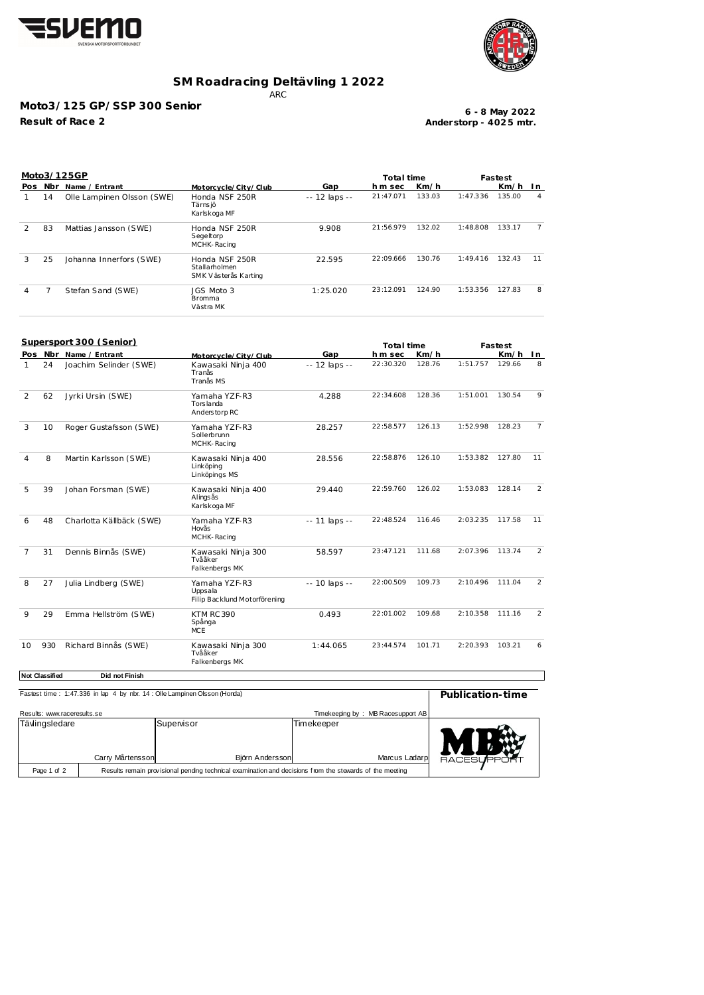



## **SM Roadracing Deltävling 1 2022**

ARC

## **Moto3/125 GP/SSP 300 Senior**

**Result of Race 2**

**Anderstorp - 402 5 mtr. 6 - 8 May 2022**

| Pos Nbr Name / Entrant<br>Gap<br>h m sec<br>Km/h<br>Km/h<br>Motorcycle/City/Club<br>133.03<br>1:47.336<br>135.00<br>Honda NSF 250R<br>21:47.071<br>$\mathbf{1}$<br>14<br>Olle Lampinen Olsson (SWE)<br>-- 12 laps --<br>Tärns jö<br>Karlskoga MF<br>21:56.979<br>132.02<br>1:48.808<br>133.17<br>9.908<br>2<br>83<br>Honda NSF 250R<br>Mattias Jansson (SWE)<br>Segeltorp<br>MCHK-Racing<br>22:09.666<br>130.76<br>132.43<br>22.595<br>1:49.416<br>3<br>25<br>Johanna Innerfors (SWE)<br>Honda NSF 250R<br>Stallarholmen<br>SMK Västerås Karting<br>23:12.091<br>124.90<br>1:53.356<br>127.83<br>7<br>Stefan Sand (SWE)<br>JGS Moto 3<br>1:25.020<br>4<br><b>Bromma</b><br>Västra MK<br>Supersport 300 (Senior)<br>Total time<br>Fastest<br>Pos Nbr Name / Entrant<br>Gap<br>hm sec<br>Km/h<br>Km/h<br>Motorcycle/City/Club<br>22:30.320<br>1:51.757<br>Joachim Selinder (SWE)<br>128.76<br>129.66<br>8<br>24<br>Kawasaki Ninja 400<br>-- 12 laps --<br>1<br>Tranås<br>Tranås MS<br>128.36<br>130.54<br>4.288<br>22:34.608<br>1:51.001<br>2<br>62<br>Jyrki Ursin (SWE)<br>Yamaha YZF-R3<br>Torslanda<br>Anders torp RC<br>126.13<br>1:52.998<br>128.23<br>Roger Gustafsson (SWE)<br>28.257<br>22:58.577<br>3<br>10<br>Yamaha YZF-R3<br>Sollerbrunn<br>MCHK-Racing<br>1:53.382<br>22:58.876<br>126.10<br>127.80<br>4<br>8<br>Martin Karlsson (SWE)<br>Kawasaki Ninja 400<br>28.556<br>Linköping<br>Linköpings MS<br>1:53.083<br>22:59.760<br>126.02<br>128.14<br>5<br>39<br>Johan Forsman (SWE)<br>Kawasaki Ninja 400<br>29.440<br>Alings ås<br>Karlskoga MF<br>22:48.524<br>2:03.235<br>117.58<br>116.46<br>48<br>Charlotta Källbäck (SWE)<br>Yamaha YZF-R3<br>-- 11 laps --<br>6<br>Hovås<br>MCHK-Racing<br>23:47.121<br>111.68<br>2:07.396<br>113.74<br>7<br>31<br>Dennis Binnås (SWE)<br>Kawasaki Ninja 300<br>58.597<br>Tvååker<br>Falkenbergs MK<br>22:00.509<br>109.73<br>2:10.496<br>111.04<br>8<br>27<br>Julia Lindberg (SWE)<br>Yamaha YZF-R3<br>-- 10 laps --<br>Uppsala<br>Filip Backlund Motorförening<br>2:10.358<br>29<br>KTM RC 390<br>0.493<br>22:01.002<br>109.68<br>111.16<br>9<br>Emma Hellström (SWE)<br>Spånga<br><b>MCE</b><br>930<br>23:44.574<br>101.71<br>2:20.393<br>103.21<br>Richard Binnås (SWE)<br>Kawasaki Ninja 300<br>1:44.065<br>Tvååker<br>Falkenbergs MK<br><b>Not Classified</b><br>Did not Finish |    |  | Moto3/125GP |  | Total time |  |  | Fastest |                |  |
|-----------------------------------------------------------------------------------------------------------------------------------------------------------------------------------------------------------------------------------------------------------------------------------------------------------------------------------------------------------------------------------------------------------------------------------------------------------------------------------------------------------------------------------------------------------------------------------------------------------------------------------------------------------------------------------------------------------------------------------------------------------------------------------------------------------------------------------------------------------------------------------------------------------------------------------------------------------------------------------------------------------------------------------------------------------------------------------------------------------------------------------------------------------------------------------------------------------------------------------------------------------------------------------------------------------------------------------------------------------------------------------------------------------------------------------------------------------------------------------------------------------------------------------------------------------------------------------------------------------------------------------------------------------------------------------------------------------------------------------------------------------------------------------------------------------------------------------------------------------------------------------------------------------------------------------------------------------------------------------------------------------------------------------------------------------------------------------------------------------------------------------------------------------------------------------------------------------------------------------------------------------------------------------------------------------------------------------------|----|--|-------------|--|------------|--|--|---------|----------------|--|
|                                                                                                                                                                                                                                                                                                                                                                                                                                                                                                                                                                                                                                                                                                                                                                                                                                                                                                                                                                                                                                                                                                                                                                                                                                                                                                                                                                                                                                                                                                                                                                                                                                                                                                                                                                                                                                                                                                                                                                                                                                                                                                                                                                                                                                                                                                                                         |    |  |             |  |            |  |  |         | I n            |  |
|                                                                                                                                                                                                                                                                                                                                                                                                                                                                                                                                                                                                                                                                                                                                                                                                                                                                                                                                                                                                                                                                                                                                                                                                                                                                                                                                                                                                                                                                                                                                                                                                                                                                                                                                                                                                                                                                                                                                                                                                                                                                                                                                                                                                                                                                                                                                         |    |  |             |  |            |  |  |         | $\overline{4}$ |  |
|                                                                                                                                                                                                                                                                                                                                                                                                                                                                                                                                                                                                                                                                                                                                                                                                                                                                                                                                                                                                                                                                                                                                                                                                                                                                                                                                                                                                                                                                                                                                                                                                                                                                                                                                                                                                                                                                                                                                                                                                                                                                                                                                                                                                                                                                                                                                         |    |  |             |  |            |  |  |         | $\overline{7}$ |  |
|                                                                                                                                                                                                                                                                                                                                                                                                                                                                                                                                                                                                                                                                                                                                                                                                                                                                                                                                                                                                                                                                                                                                                                                                                                                                                                                                                                                                                                                                                                                                                                                                                                                                                                                                                                                                                                                                                                                                                                                                                                                                                                                                                                                                                                                                                                                                         |    |  |             |  |            |  |  |         | 11             |  |
|                                                                                                                                                                                                                                                                                                                                                                                                                                                                                                                                                                                                                                                                                                                                                                                                                                                                                                                                                                                                                                                                                                                                                                                                                                                                                                                                                                                                                                                                                                                                                                                                                                                                                                                                                                                                                                                                                                                                                                                                                                                                                                                                                                                                                                                                                                                                         |    |  |             |  |            |  |  |         | 8              |  |
|                                                                                                                                                                                                                                                                                                                                                                                                                                                                                                                                                                                                                                                                                                                                                                                                                                                                                                                                                                                                                                                                                                                                                                                                                                                                                                                                                                                                                                                                                                                                                                                                                                                                                                                                                                                                                                                                                                                                                                                                                                                                                                                                                                                                                                                                                                                                         |    |  |             |  |            |  |  |         |                |  |
|                                                                                                                                                                                                                                                                                                                                                                                                                                                                                                                                                                                                                                                                                                                                                                                                                                                                                                                                                                                                                                                                                                                                                                                                                                                                                                                                                                                                                                                                                                                                                                                                                                                                                                                                                                                                                                                                                                                                                                                                                                                                                                                                                                                                                                                                                                                                         |    |  |             |  |            |  |  |         | In.            |  |
|                                                                                                                                                                                                                                                                                                                                                                                                                                                                                                                                                                                                                                                                                                                                                                                                                                                                                                                                                                                                                                                                                                                                                                                                                                                                                                                                                                                                                                                                                                                                                                                                                                                                                                                                                                                                                                                                                                                                                                                                                                                                                                                                                                                                                                                                                                                                         |    |  |             |  |            |  |  |         |                |  |
|                                                                                                                                                                                                                                                                                                                                                                                                                                                                                                                                                                                                                                                                                                                                                                                                                                                                                                                                                                                                                                                                                                                                                                                                                                                                                                                                                                                                                                                                                                                                                                                                                                                                                                                                                                                                                                                                                                                                                                                                                                                                                                                                                                                                                                                                                                                                         |    |  |             |  |            |  |  |         | 9              |  |
|                                                                                                                                                                                                                                                                                                                                                                                                                                                                                                                                                                                                                                                                                                                                                                                                                                                                                                                                                                                                                                                                                                                                                                                                                                                                                                                                                                                                                                                                                                                                                                                                                                                                                                                                                                                                                                                                                                                                                                                                                                                                                                                                                                                                                                                                                                                                         |    |  |             |  |            |  |  |         | $\overline{7}$ |  |
|                                                                                                                                                                                                                                                                                                                                                                                                                                                                                                                                                                                                                                                                                                                                                                                                                                                                                                                                                                                                                                                                                                                                                                                                                                                                                                                                                                                                                                                                                                                                                                                                                                                                                                                                                                                                                                                                                                                                                                                                                                                                                                                                                                                                                                                                                                                                         |    |  |             |  |            |  |  |         | 11             |  |
|                                                                                                                                                                                                                                                                                                                                                                                                                                                                                                                                                                                                                                                                                                                                                                                                                                                                                                                                                                                                                                                                                                                                                                                                                                                                                                                                                                                                                                                                                                                                                                                                                                                                                                                                                                                                                                                                                                                                                                                                                                                                                                                                                                                                                                                                                                                                         |    |  |             |  |            |  |  |         | 2              |  |
|                                                                                                                                                                                                                                                                                                                                                                                                                                                                                                                                                                                                                                                                                                                                                                                                                                                                                                                                                                                                                                                                                                                                                                                                                                                                                                                                                                                                                                                                                                                                                                                                                                                                                                                                                                                                                                                                                                                                                                                                                                                                                                                                                                                                                                                                                                                                         |    |  |             |  |            |  |  |         | 11             |  |
|                                                                                                                                                                                                                                                                                                                                                                                                                                                                                                                                                                                                                                                                                                                                                                                                                                                                                                                                                                                                                                                                                                                                                                                                                                                                                                                                                                                                                                                                                                                                                                                                                                                                                                                                                                                                                                                                                                                                                                                                                                                                                                                                                                                                                                                                                                                                         |    |  |             |  |            |  |  |         | 2              |  |
|                                                                                                                                                                                                                                                                                                                                                                                                                                                                                                                                                                                                                                                                                                                                                                                                                                                                                                                                                                                                                                                                                                                                                                                                                                                                                                                                                                                                                                                                                                                                                                                                                                                                                                                                                                                                                                                                                                                                                                                                                                                                                                                                                                                                                                                                                                                                         |    |  |             |  |            |  |  |         | 2              |  |
|                                                                                                                                                                                                                                                                                                                                                                                                                                                                                                                                                                                                                                                                                                                                                                                                                                                                                                                                                                                                                                                                                                                                                                                                                                                                                                                                                                                                                                                                                                                                                                                                                                                                                                                                                                                                                                                                                                                                                                                                                                                                                                                                                                                                                                                                                                                                         |    |  |             |  |            |  |  |         | $\overline{2}$ |  |
|                                                                                                                                                                                                                                                                                                                                                                                                                                                                                                                                                                                                                                                                                                                                                                                                                                                                                                                                                                                                                                                                                                                                                                                                                                                                                                                                                                                                                                                                                                                                                                                                                                                                                                                                                                                                                                                                                                                                                                                                                                                                                                                                                                                                                                                                                                                                         | 10 |  |             |  |            |  |  |         | 6              |  |
|                                                                                                                                                                                                                                                                                                                                                                                                                                                                                                                                                                                                                                                                                                                                                                                                                                                                                                                                                                                                                                                                                                                                                                                                                                                                                                                                                                                                                                                                                                                                                                                                                                                                                                                                                                                                                                                                                                                                                                                                                                                                                                                                                                                                                                                                                                                                         |    |  |             |  |            |  |  |         |                |  |
|                                                                                                                                                                                                                                                                                                                                                                                                                                                                                                                                                                                                                                                                                                                                                                                                                                                                                                                                                                                                                                                                                                                                                                                                                                                                                                                                                                                                                                                                                                                                                                                                                                                                                                                                                                                                                                                                                                                                                                                                                                                                                                                                                                                                                                                                                                                                         |    |  |             |  |            |  |  |         |                |  |

| Fastest time: 1:47.336 in lap 4 by nbr. 14 : Olle Lampinen Olsson (Honda) | Publication-time |                               |                |                   |                    |
|---------------------------------------------------------------------------|------------------|-------------------------------|----------------|-------------------|--------------------|
| Results: www.raceresults.se                                               |                  |                               | Timekeeping by | MB Racesupport AB |                    |
| Tävlingsledare                                                            | Carry Mårtensson | Supervisor<br>Björn Andersson | Timekeeper     | Marcus Ladarp     | <b>RACESUPPORT</b> |
| Page 1 of 2                                                               |                  |                               |                |                   |                    |